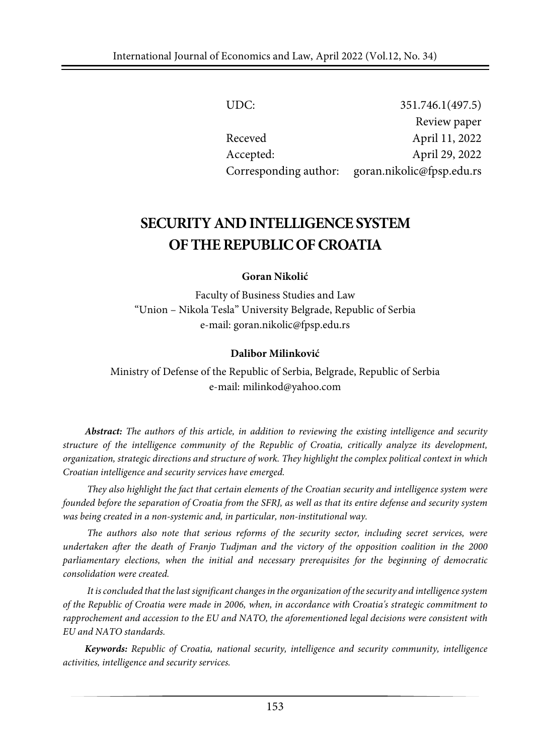| UDC:                  | 351.746.1(497.5)          |
|-----------------------|---------------------------|
|                       | Review paper              |
| Receved               | April 11, 2022            |
| Accepted:             | April 29, 2022            |
| Corresponding author: | goran.nikolic@fpsp.edu.rs |

# **SECURITY ANDINTELLIGENCESYSTEM OFTHEREPUBLICOFCROATIA**

#### **Goran Nikolić**

Faculty of Business Studies and Law "Union – Nikola Tesla" University Belgrade, Republic of Serbia e-mail: goran.nikolic@fpsp.edu.rs

#### **Dalibor Milinković**

Ministry of Defense of the Republic of Serbia, Belgrade, Republic of Serbia e-mail: milinkod@yahoo.com

*Abstract: The authors of this article, in addition to reviewing the existing intelligence and security structure of the intelligence community of the Republic of Croatia, critically analyze its development, organization, strategic directions and structure of work. They highlight the complex political context in which Croatian intelligence and security services have emerged.*

*They also highlight the fact that certain elements of the Croatian security and intelligence system were* founded before the separation of Croatia from the SFRJ, as well as that its entire defense and security system *was being created in a non-systemic and, in particular, non-institutional way.*

*The authors also note that serious reforms of the security sector, including secret services, were undertaken after the death of Franjo Tudjman and the victory of the opposition coalition in the 2000 parliamentary elections, when the initial and necessary prerequisites for the beginning of democratic consolidation were created.*

*It isconcluded that the last significantchanges in the organization of the security and intelligence system of the Republic of Croatia were made in 2006, when, in accordance with Croatia's strategic commitment to rapprochement and accession to the EU and NATO, the aforementioned legal decisions were consistent with EU and NATO standards.*

*Keywords: Republic of Croatia, national security, intelligence and security community, intelligence activities, intelligence and security services.*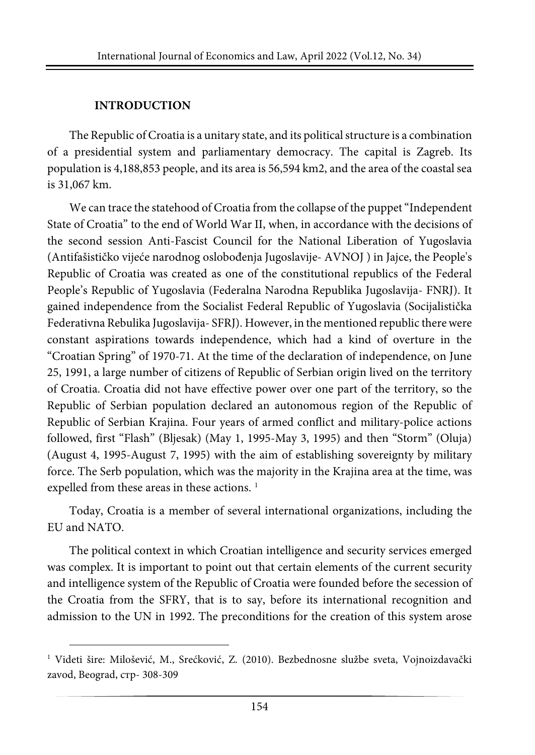#### **INTRODUCTION**

The Republic of Croatia is a unitary state, and its political structure is a combination of a presidential system and parliamentary democracy. The capital is Zagreb. Its population is 4,188,853 people, and its area is 56,594 km2, and the area of the coastal sea is 31,067 km.

We can trace the statehood of Croatia from the collapse of the puppet "Independent" State of Croatia" to the end of World War II, when, in accordance with the decisions of the second session Anti-Fascist Council for the National Liberation of Yugoslavia (Antifašističko vijeće narodnog oslobođenja Jugoslavije- AVNOJ ) in Jajce, the People's Republic of Croatia was created as one of the constitutional republics of the Federal People's Republic of Yugoslavia (Federalna Narodna Republika Jugoslavija- FNRJ). It gained independence from the Socialist Federal Republic of Yugoslavia (Socijalistička Federativna Rebulika Jugoslavija- SFRJ). However, in the mentioned republic therewere constant aspirations towards independence, which had a kind of overture in the "Croatian Spring" of 1970-71. At the time of the declaration of independence, on June 25, 1991, a large number of citizens of Republic of Serbian origin lived on the territory of Croatia. Croatia did not have effective power over one part of the territory, so the Republic of Serbian population declared an autonomous region of the Republic of Republic of Serbian Krajina. Four years of armed conflict and military-police actions followed, first "Flash" (Bljesak) (May 1, 1995-May 3, 1995) and then "Storm" (Oluja) (August 4, 1995-August 7, 1995) with the aim of establishing sovereignty by military force. The Serb population, which was the majority in the Krajina area at the time, was expelled from these areas in these actions.<sup>[1](#page-1-0)</sup>

Today, Croatia is a member of several international organizations, including the EU and NATO.

The political context in which Croatian intelligence and security services emerged was complex. It is important to point out that certain elements of the current security and intelligence system of the Republic of Croatia were founded before the secession of the Croatia from the SFRY, that is to say, before its international recognition and admission to the UN in 1992. The preconditions for the creation of this system arose

<span id="page-1-0"></span><sup>1</sup> Videti šire: Milošević, M., Srećković, Z. (2010). Bezbednosne službe sveta, Vojnoizdavački zavod, Beograd, стр- 308-309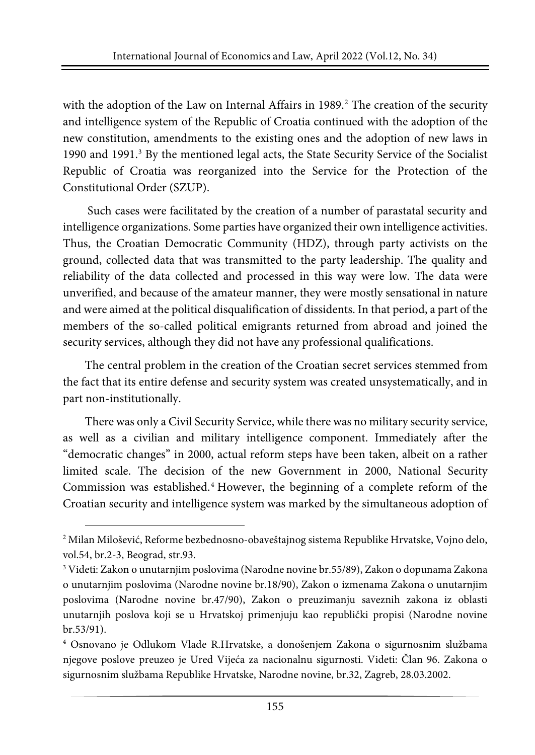with the adoption of the Law on Internal Affairs in 1989.<sup>[2](#page-2-0)</sup> The creation of the security and intelligence system of the Republic of Croatia continued with the adoption of the new constitution, amendments to the existing ones and the adoption of new laws in 1990 and 1991.[3](#page-2-1) By the mentioned legal acts, the State Security Service of the Socialist Republic of Croatia was reorganized into the Service for the Protection of the Constitutional Order (SZUP).

Such cases were facilitated by the creation of a number of parastatal security and intelligence organizations. Some parties have organized their own intelligence activities. Thus, the Croatian Democratic Community (HDZ), through party activists on the ground, collected data that was transmitted to the party leadership. The quality and reliability of the data collected and processed in this way were low. The data were unverified, and because of the amateur manner, they were mostly sensational in nature and were aimed at the political disqualification of dissidents. In that period, a part of the members of the so-called political emigrants returned from abroad and joined the security services, although they did not have any professional qualifications.

The central problem in the creation of the Croatian secret services stemmed from the fact that its entire defense and security system was created unsystematically, and in part non-institutionally.

There was only a Civil Security Service, while there was no military security service, as well as a civilian and military intelligence component. Immediately after the "democratic changes" in 2000, actual reform steps have been taken, albeit on a rather limited scale. The decision of the new Government in 2000, National Security Commission was established.[4](#page-2-2) However, the beginning of a complete reform of the Croatian security and intelligence system was marked by the simultaneous adoption of

<span id="page-2-0"></span><sup>2</sup> Milan Milošević, Reforme bezbednosno-obaveštajnog sistema Republike Hrvatske, Vojno delo, vol.54, br.2-3, Beograd, str.93.

<span id="page-2-1"></span><sup>3</sup> Videti: Zakon o unutarnjim poslovima (Narodne novine br.55/89), Zakon o dopunama Zakona o unutarnjim poslovima (Narodne novine br.18/90), Zakon o izmenama Zakona o unutarnjim poslovima (Narodne novine br.47/90), Zakon o preuzimanju saveznih zakona iz oblasti unutarnjih poslova koji se u Hrvatskoj primenjuju kao republički propisi (Narodne novine br.53/91).

<span id="page-2-2"></span><sup>4</sup> Osnovano je Odlukom Vlade R.Hrvatske, a donošenjem Zakona o sigurnosnim službama njegove poslove preuzeo je Ured Vijeća za nacionalnu sigurnosti. Videti: Član 96. Zakona o sigurnosnim službama Republike Hrvatske, Narodne novine, br.32, Zagreb, 28.03.2002.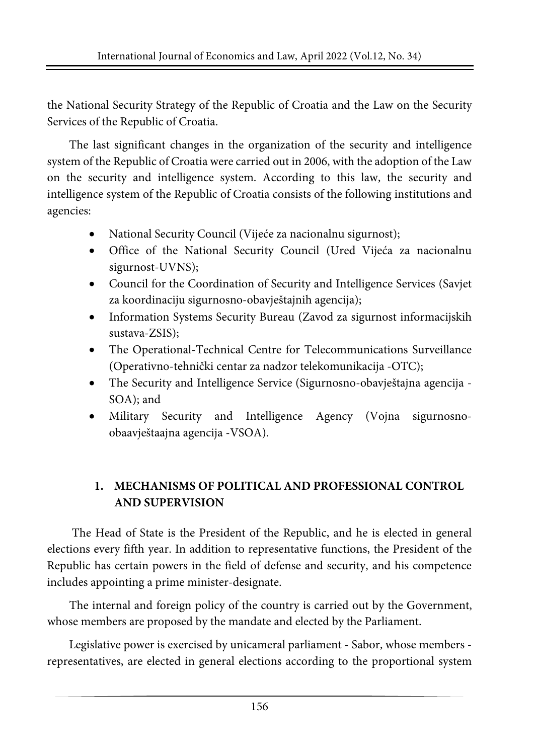the National Security Strategy of the Republic of Croatia and the Law on the Security Services of the Republic of Croatia.

The last significant changes in the organization of the security and intelligence system of the Republic of Croatia were carried out in 2006, with the adoption of the Law on the security and intelligence system. According to this law, the security and intelligence system of the Republic of Croatia consists of the following institutions and agencies:

- National Security Council (Vijeće za nacionalnu sigurnost);
- Office of the National Security Council (Ured Vijeća za nacionalnu sigurnost-UVNS);
- Council for the Coordination of Security and Intelligence Services (Savjet za koordinaciju sigurnosno-obavještajnih agencija);
- Information Systems Security Bureau (Zavod za sigurnost informacijskih sustava-ZSIS);
- The Operational-Technical Centre for Telecommunications Surveillance (Operativno-tehnički centar za nadzor telekomunikacija -OTC);
- The Security and Intelligence Service (Sigurnosno-obavještajna agencija SOA); and
- Military Security and Intelligence Agency (Vojna sigurnosnoobaavještaajna agencija -VSOA).

# **1. MECHANISMS OF POLITICAL AND PROFESSIONAL CONTROL AND SUPERVISION**

The Head of State is the President of the Republic, and he is elected in general elections every fifth year. In addition to representative functions, the President of the Republic has certain powers in the field of defense and security, and his competence includes appointing a prime minister-designate.

The internal and foreign policy of the country is carried out by the Government, whose members are proposed by the mandate and elected by the Parliament.

Legislative power is exercised by unicameral parliament - Sabor, whose members representatives, are elected in general elections according to the proportional system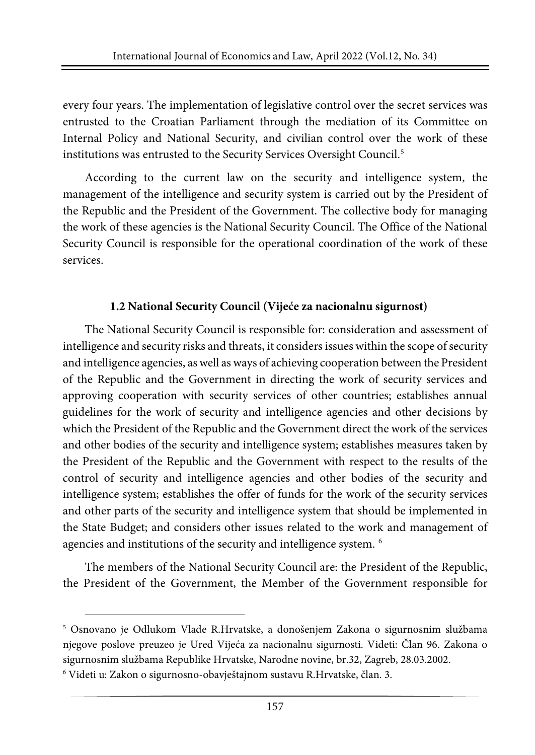every four years. The implementation of legislative control over the secret services was entrusted to the Croatian Parliament through the mediation of its Committee on Internal Policy and National Security, and civilian control over the work of these institutions was entrusted to the Security Services Oversight Council.<sup>[5](#page-4-0)</sup>

According to the current law on the security and intelligence system, the management of the intelligence and security system is carried out by the President of the Republic and the President of the Government. The collective body for managing the work of these agencies is the National Security Council. The Office of the National Security Council is responsible for the operational coordination of the work of these services.

### **1.2 National Security Council (Vijeće za nacionalnu sigurnost)**

The National Security Council is responsible for: consideration and assessment of intelligence and security risks and threats, it considers issues within the scope of security and intelligence agencies, aswell as ways of achieving cooperation between the President of the Republic and the Government in directing the work of security services and approving cooperation with security services of other countries; establishes annual guidelines for the work of security and intelligence agencies and other decisions by which the President of the Republic and the Government direct the work of the services and other bodies of the security and intelligence system; establishes measures taken by the President of the Republic and the Government with respect to the results of the control of security and intelligence agencies and other bodies of the security and intelligence system; establishes the offer of funds for the work of the security services and other parts of the security and intelligence system that should be implemented in the State Budget; and considers other issues related to the work and management of agencies and institutions of the security and intelligence system. <sup>[6](#page-4-1)</sup>

The members of the National Security Council are: the President of the Republic, the President of the Government, the Member of the Government responsible for

<span id="page-4-0"></span><sup>5</sup> Osnovano je Odlukom Vlade R.Hrvatske, a donošenjem Zakona o sigurnosnim službama njegove poslove preuzeo je Ured Vijeća za nacionalnu sigurnosti. Videti: Član 96. Zakona o sigurnosnim službama Republike Hrvatske, Narodne novine, br.32, Zagreb, 28.03.2002.

<span id="page-4-1"></span><sup>6</sup> Videti u: Zakon o sigurnosno-obavještajnom sustavu R.Hrvatske, član. 3.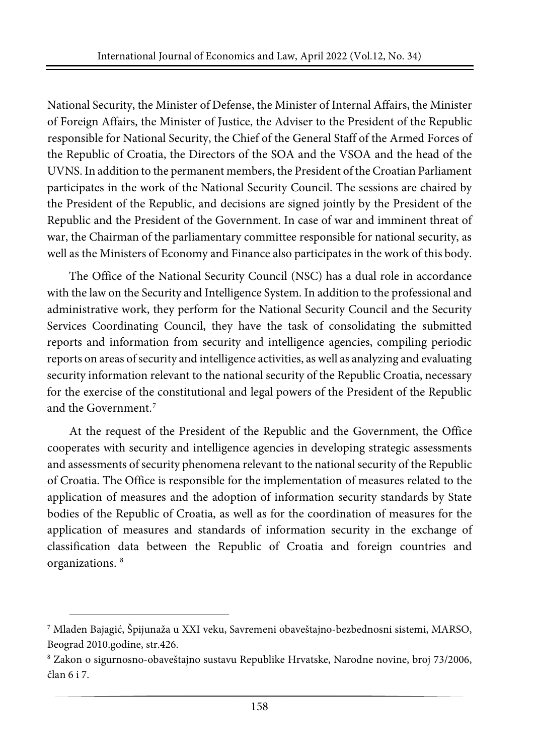National Security, the Minister of Defense, the Minister of Internal Affairs, the Minister of Foreign Affairs, the Minister of Justice, the Adviser to the President of the Republic responsible for National Security, the Chief of the General Staff of the Armed Forces of the Republic of Croatia, the Directors of the SOA and the VSOA and the head of the UVNS. In addition to the permanent members, the President of theCroatian Parliament participates in the work of the National Security Council. The sessions are chaired by the President of the Republic, and decisions are signed jointly by the President of the Republic and the President of the Government. In case of war and imminent threat of war, the Chairman of the parliamentary committee responsible for national security, as well as the Ministers of Economy and Finance also participates in the work of this body.

The Office of the National Security Council (NSC) has a dual role in accordance with the law on the Security and Intelligence System. In addition to the professional and administrative work, they perform for the National Security Council and the Security Services Coordinating Council, they have the task of consolidating the submitted reports and information from security and intelligence agencies, compiling periodic reports on areas of security and intelligence activities, as well as analyzing and evaluating security information relevant to the national security of the Republic Croatia, necessary for the exercise of the constitutional and legal powers of the President of the Republic and the Government.[7](#page-5-0)

At the request of the President of the Republic and the Government, the Office cooperates with security and intelligence agencies in developing strategic assessments and assessments of security phenomena relevant to the national security of the Republic of Croatia. The Office is responsible for the implementation of measures related to the application of measures and the adoption of information security standards by State bodies of the Republic of Croatia, as well as for the coordination of measures for the application of measures and standards of information security in the exchange of classification data between the Republic of Croatia and foreign countries and organizations. [8](#page-5-1)

<span id="page-5-0"></span><sup>7</sup> Mladen Bajagić, Špijunaža u XXI veku, Savremeni obaveštajno-bezbednosni sistemi, MARSO, Beograd 2010.godine, str.426.

<span id="page-5-1"></span><sup>8</sup> Zakon o sigurnosno-obaveštajno sustavu Republike Hrvatske, Narodne novine, broj 73/2006, član 6 i 7.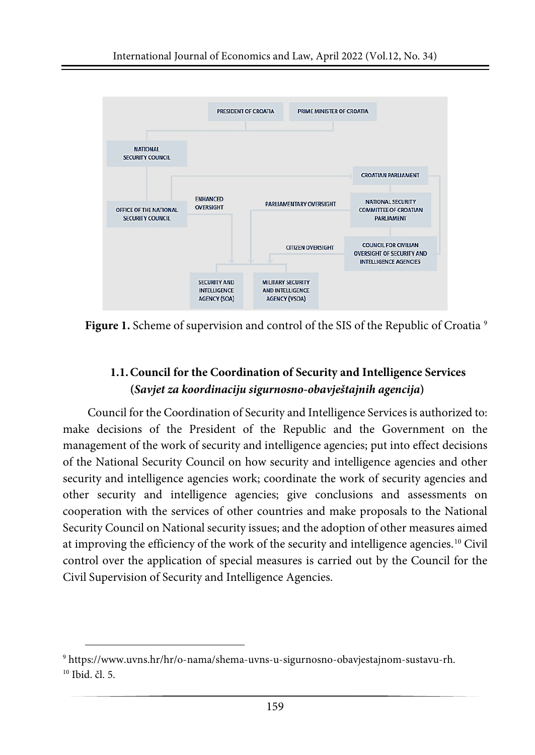

Figure 1. Scheme of supervision and control of the SIS of the Republic of Croatia<sup>[9](#page-6-0)</sup>

# **1.1.Council for the Coordination of Security and Intelligence Services (***Savjet za koordinaciju sigurnosno-obavještajnih agencija***)**

Council for the Coordination of Security and Intelligence Services is authorized to: make decisions of the President of the Republic and the Government on the management of the work of security and intelligence agencies; put into effect decisions of the National Security Council on how security and intelligence agencies and other security and intelligence agencies work; coordinate the work of security agencies and other security and intelligence agencies; give conclusions and assessments on cooperation with the services of other countries and make proposals to the National Security Council on National security issues; and the adoption of other measures aimed at improving the efficiency of the work of the security and intelligence agencies.[10](#page-6-1) Civil control over the application of special measures is carried out by the Council for the Civil Supervision of Security and Intelligence Agencies.

<span id="page-6-1"></span><span id="page-6-0"></span><sup>9</sup> https://www.uvns.hr/hr/o-nama/shema-uvns-u-sigurnosno-obavjestajnom-sustavu-rh.  $10$  Ibid. čl. 5.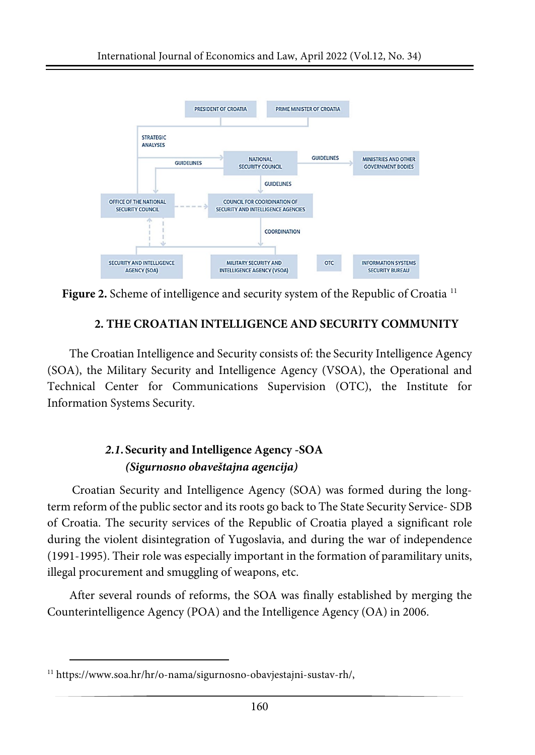

**Figure 2.** Scheme of intelligence and security system of the Republic of Croatia [11](#page-7-0)

### **2. THE CROATIAN INTELLIGENCE AND SECURITY COMMUNITY**

The Croatian Intelligence and Security consists of: the Security Intelligence Agency (SOA), the Military Security and Intelligence Agency (VSOA), the Operational and Technical Center for Communications Supervision (OTC), the Institute for Information Systems Security.

# *2.1.***Security and Intelligence Agency -SOA** *(Sigurnosno obaveštajna agencija)*

Croatian Security and Intelligence Agency (SOA) was formed during the longterm reform of the public sector and its roots go back to The State Security Service- SDB of Croatia. The security services of the Republic of Croatia played a significant role during the violent disintegration of Yugoslavia, and during the war of independence (1991-1995). Their role was especially important in the formation of paramilitary units, illegal procurement and smuggling of weapons, etc.

After several rounds of reforms, the SOA was finally established by merging the Counterintelligence Agency (POA) and the Intelligence Agency (OA) in 2006.

<span id="page-7-0"></span><sup>11</sup> https://www.soa.hr/hr/o-nama/sigurnosno-obavjestajni-sustav-rh/,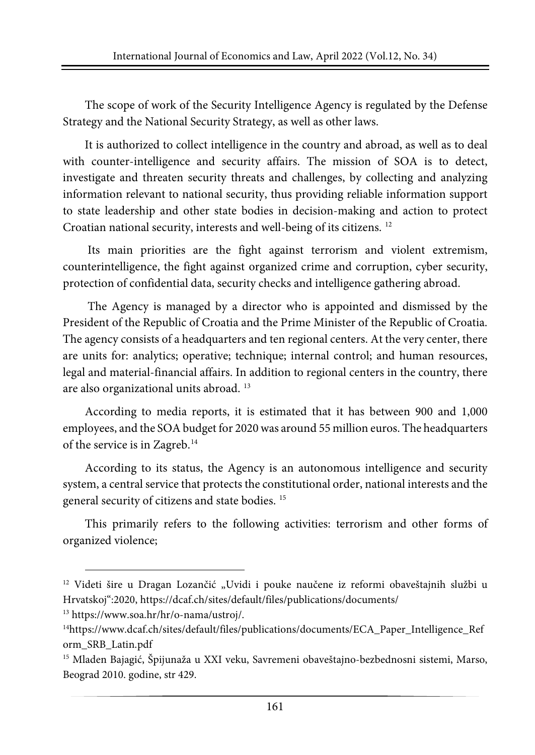The scope of work of the Security Intelligence Agency is regulated by the Defense Strategy and the National Security Strategy, as well as other laws.

It is authorized to collect intelligence in the country and abroad, as well as to deal with counter-intelligence and security affairs. The mission of SOA is to detect, investigate and threaten security threats and challenges, by collecting and analyzing information relevant to national security, thus providing reliable information support to state leadership and other state bodies in decision-making and action to protect Croatian national security, interests and well-being of its citizens. [12](#page-8-0)

Its main priorities are the fight against terrorism and violent extremism, counterintelligence, the fight against organized crime and corruption, cyber security, protection of confidential data, security checks and intelligence gathering abroad.

The Agency is managed by a director who is appointed and dismissed by the President of the Republic of Croatia and the Prime Minister of the Republic of Croatia. The agency consists of a headquarters and ten regional centers. At the very center, there are units for: analytics; operative; technique; internal control; and human resources, legal and material-financial affairs. In addition to regional centers in the country, there are also organizational units abroad. [13](#page-8-1)

According to media reports, it is estimated that it has between 900 and 1,000 employees, and the SOA budget for 2020 was around 55 million euros. The headquarters of the service is in Zagreb.<sup>[14](#page-8-2)</sup>

According to its status, the Agency is an autonomous intelligence and security system, a central service that protects the constitutional order, national interests and the general security of citizens and state bodies. [15](#page-8-3)

This primarily refers to the following activities: terrorism and other forms of organized violence;

<span id="page-8-0"></span><sup>&</sup>lt;sup>12</sup> Videti šire u Dragan Lozančić "Uvidi i pouke naučene iz reformi obaveštajnih službi u Hrvatskoj":2020, https://dcaf.ch/sites/default/files/publications/documents/

<span id="page-8-1"></span><sup>13</sup> https://www.soa.hr/hr/o-nama/ustroj/.

<span id="page-8-2"></span><sup>14</sup>https://www.dcaf.ch/sites/default/files/publications/documents/ECA\_Paper\_Intelligence\_Ref orm\_SRB\_Latin.pdf

<span id="page-8-3"></span><sup>&</sup>lt;sup>15</sup> Mladen Bajagić, Špijunaža u XXI veku, Savremeni obaveštajno-bezbednosni sistemi, Marso, Beograd 2010. godine, str 429.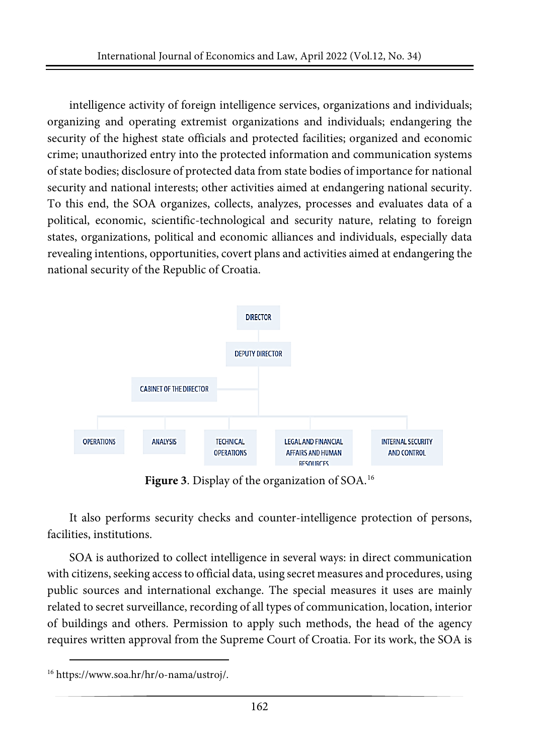intelligence activity of foreign intelligence services, organizations and individuals; organizing and operating extremist organizations and individuals; endangering the security of the highest state officials and protected facilities; organized and economic crime; unauthorized entry into the protected information and communication systems of state bodies; disclosure of protected data from state bodies of importance for national security and national interests; other activities aimed at endangering national security. To this end, the SOA organizes, collects, analyzes, processes and evaluates data of a political, economic, scientific-technological and security nature, relating to foreign states, organizations, political and economic alliances and individuals, especially data revealing intentions, opportunities, covert plans and activities aimed at endangering the national security of the Republic of Croatia.



**Figure 3**. Display of the organization of SOA.[16](#page-9-0)

It also performs security checks and counter-intelligence protection of persons, facilities, institutions.

SOA is authorized to collect intelligence in several ways: in direct communication with citizens, seeking access to official data, using secret measures and procedures, using public sources and international exchange. The special measures it uses are mainly related to secret surveillance, recording of all types of communication, location, interior of buildings and others. Permission to apply such methods, the head of the agency requires written approval from the Supreme Court of Croatia. For its work, the SOA is

<span id="page-9-0"></span><sup>16</sup> https://www.soa.hr/hr/o-nama/ustroj/.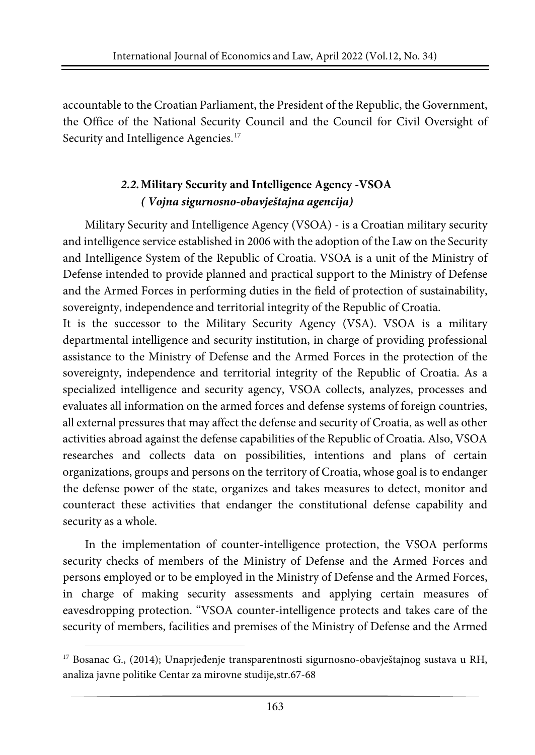accountable to the Croatian Parliament, the President of the Republic, the Government, the Office of the National Security Council and the Council for Civil Oversight of Security and Intelligence Agencies.<sup>[17](#page-10-0)</sup>

# *2.2.***Military Security and Intelligence Agency -VSOA** *( Vojna sigurnosno-obavještajna agencija)*

Military Security and Intelligence Agency (VSOA) - is a Croatian military security and intelligence service established in 2006 with the adoption of the Law on the Security and Intelligence System of the Republic of Croatia. VSOA is a unit of the Ministry of Defense intended to provide planned and practical support to the Ministry of Defense and the Armed Forces in performing duties in the field of protection of sustainability, sovereignty, independence and territorial integrity of the Republic of Croatia.

It is the successor to the Military Security Agency (VSA). VSOA is a military departmental intelligence and security institution, in charge of providing professional assistance to the Ministry of Defense and the Armed Forces in the protection of the sovereignty, independence and territorial integrity of the Republic of Croatia. As a specialized intelligence and security agency, VSOA collects, analyzes, processes and evaluates all information on the armed forces and defense systems of foreign countries, all external pressures that may affect the defense and security of Croatia, as well as other activities abroad against the defense capabilities of the Republic of Croatia. Also, VSOA researches and collects data on possibilities, intentions and plans of certain organizations, groups and persons on the territory of Croatia, whose goal is to endanger the defense power of the state, organizes and takes measures to detect, monitor and counteract these activities that endanger the constitutional defense capability and security as a whole.

In the implementation of counter-intelligence protection, the VSOA performs security checks of members of the Ministry of Defense and the Armed Forces and persons employed or to be employed in the Ministry of Defense and the Armed Forces, in charge of making security assessments and applying certain measures of eavesdropping protection. "VSOA counter-intelligence protects and takes care of the security of members, facilities and premises of the Ministry of Defense and the Armed

<span id="page-10-0"></span><sup>&</sup>lt;sup>17</sup> Bosanac G., (2014); Unaprjeđenje transparentnosti sigurnosno-obavještajnog sustava u RH, analiza javne politike Centar za mirovne studije,str.67-68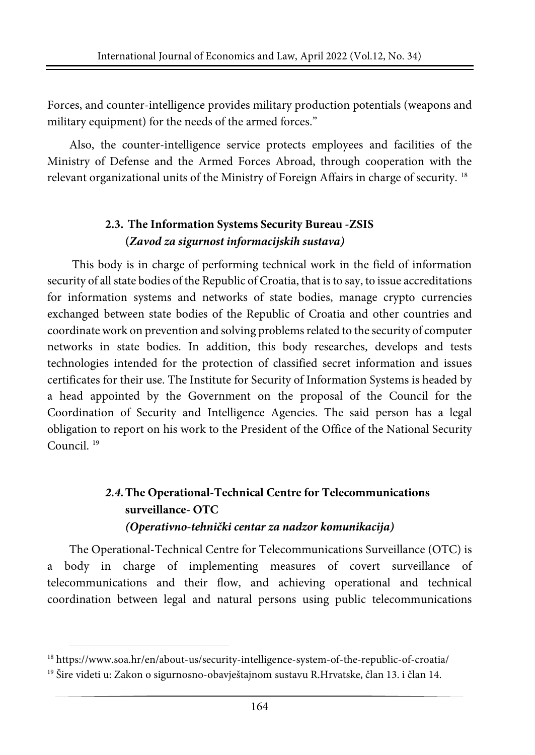Forces, and counter-intelligence provides military production potentials (weapons and military equipment) for the needs of the armed forces."

Also, the counter-intelligence service protects employees and facilities of the Ministry of Defense and the Armed Forces Abroad, through cooperation with the relevant organizational units of the Ministry of Foreign Affairs in charge of security. [18](#page-11-0)

# **2.3. The Information Systems Security Bureau -ZSIS (***Zavod za sigurnost informacijskih sustava)*

This body is in charge of performing technical work in the field of information security of all state bodies of the Republic of Croatia, that is to say, to issue accreditations for information systems and networks of state bodies, manage crypto currencies exchanged between state bodies of the Republic of Croatia and other countries and coordinate work on prevention and solving problemsrelated to the security of computer networks in state bodies. In addition, this body researches, develops and tests technologies intended for the protection of classified secret information and issues certificates for their use. The Institute for Security of Information Systems is headed by a head appointed by the Government on the proposal of the Council for the Coordination of Security and Intelligence Agencies. The said person has a legal obligation to report on his work to the President of the Office of the National Security Council. [19](#page-11-1)

# *2.4.***The Operational-Technical Centre for Telecommunications surveillance- OTC** *(Operativno-tehnički centar za nadzor komunikacija)*

The Operational-Technical Centre for Telecommunications Surveillance (OTC) is a body in charge of implementing measures of covert surveillance of telecommunications and their flow, and achieving operational and technical coordination between legal and natural persons using public telecommunications

<span id="page-11-0"></span><sup>18</sup> https://www.soa.hr/en/about-us/security-intelligence-system-of-the-republic-of-croatia/

<span id="page-11-1"></span><sup>19</sup> Šire videti u: Zakon o sigurnosno-obavještajnom sustavu R.Hrvatske, član 13. i član 14.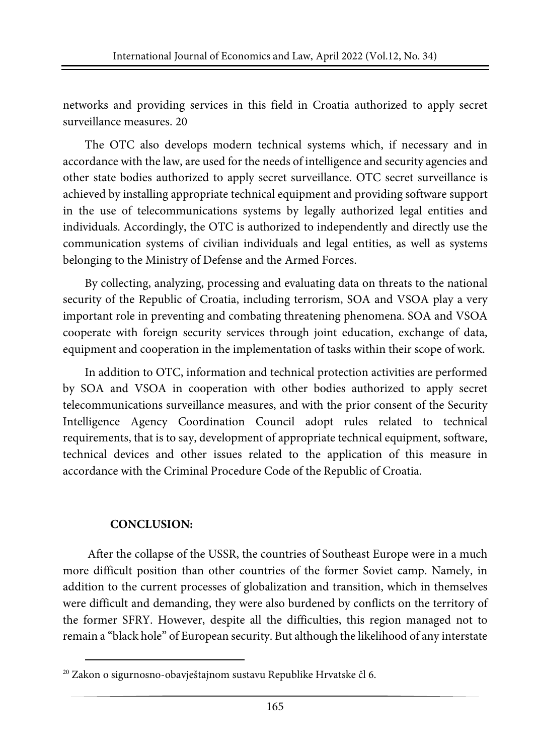networks and providing services in this field in Croatia authorized to apply secret surveillance measures. [20](#page-12-0)

The OTC also develops modern technical systems which, if necessary and in accordance with the law, are used for the needs of intelligence and security agencies and other state bodies authorized to apply secret surveillance. OTC secret surveillance is achieved by installing appropriate technical equipment and providing software support in the use of telecommunications systems by legally authorized legal entities and individuals. Accordingly, the OTC is authorized to independently and directly use the communication systems of civilian individuals and legal entities, as well as systems belonging to the Ministry of Defense and the Armed Forces.

By collecting, analyzing, processing and evaluating data on threats to the national security of the Republic of Croatia, including terrorism, SOA and VSOA play a very important role in preventing and combating threatening phenomena. SOA and VSOA cooperate with foreign security services through joint education, exchange of data, equipment and cooperation in the implementation of tasks within their scope of work.

In addition to OTC, information and technical protection activities are performed by SOA and VSOA in cooperation with other bodies authorized to apply secret telecommunications surveillance measures, and with the prior consent of the Security Intelligence Agency Coordination Council adopt rules related to technical requirements, that is to say, development of appropriate technical equipment, software, technical devices and other issues related to the application of this measure in accordance with the Criminal Procedure Code of the Republic of Croatia.

### **CONCLUSION:**

After the collapse of the USSR, the countries of Southeast Europe were in a much more difficult position than other countries of the former Soviet camp. Namely, in addition to the current processes of globalization and transition, which in themselves were difficult and demanding, they were also burdened by conflicts on the territory of the former SFRY. However, despite all the difficulties, this region managed not to remain a "black hole" of European security. But although the likelihood of any interstate

<span id="page-12-0"></span><sup>&</sup>lt;sup>20</sup> Zakon o sigurnosno-obavještajnom sustavu Republike Hrvatske čl 6.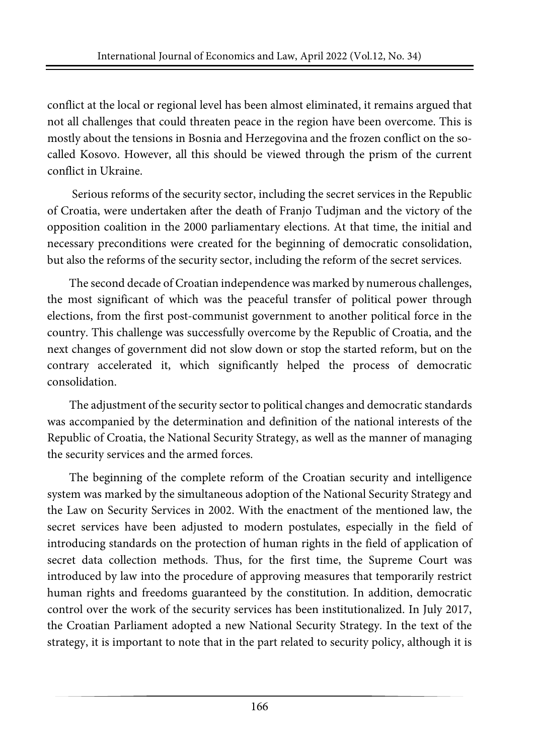conflict at the local or regional level has been almost eliminated, it remains argued that not all challenges that could threaten peace in the region have been overcome. This is mostly about the tensions in Bosnia and Herzegovina and the frozen conflict on the socalled Kosovo. However, all this should be viewed through the prism of the current conflict in Ukraine.

Serious reforms of the security sector, including the secret services in the Republic of Croatia, were undertaken after the death of Franjo Tudjman and the victory of the opposition coalition in the 2000 parliamentary elections. At that time, the initial and necessary preconditions were created for the beginning of democratic consolidation, but also the reforms of the security sector, including the reform of the secret services.

The second decade of Croatian independence was marked by numerous challenges, the most significant of which was the peaceful transfer of political power through elections, from the first post-communist government to another political force in the country. This challenge was successfully overcome by the Republic of Croatia, and the next changes of government did not slow down or stop the started reform, but on the contrary accelerated it, which significantly helped the process of democratic consolidation.

The adjustment of the security sector to political changes and democratic standards was accompanied by the determination and definition of the national interests of the Republic of Croatia, the National Security Strategy, as well as the manner of managing the security services and the armed forces.

The beginning of the complete reform of the Croatian security and intelligence system was marked by the simultaneous adoption of the National Security Strategy and the Law on Security Services in 2002. With the enactment of the mentioned law, the secret services have been adjusted to modern postulates, especially in the field of introducing standards on the protection of human rights in the field of application of secret data collection methods. Thus, for the first time, the Supreme Court was introduced by law into the procedure of approving measures that temporarily restrict human rights and freedoms guaranteed by the constitution. In addition, democratic control over the work of the security services has been institutionalized. In July 2017, the Croatian Parliament adopted a new National Security Strategy. In the text of the strategy, it is important to note that in the part related to security policy, although it is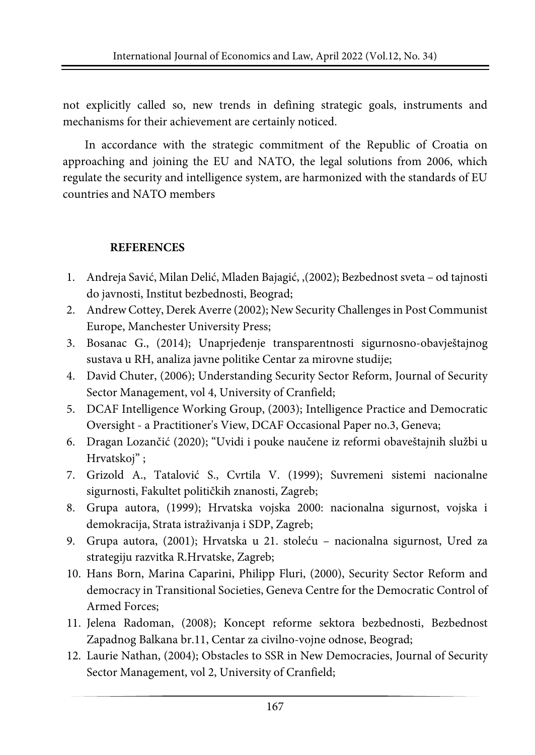not explicitly called so, new trends in defining strategic goals, instruments and mechanisms for their achievement are certainly noticed.

In accordance with the strategic commitment of the Republic of Croatia on approaching and joining the EU and NATO, the legal solutions from 2006, which regulate the security and intelligence system, are harmonized with the standards of EU countries and NATO members

#### **REFERENCES**

- 1. Andreja Savić, Milan Delić, Mladen Bajagić, ,(2002); Bezbednost sveta od tajnosti do javnosti, Institut bezbednosti, Beograd;
- 2. Andrew Cottey, Derek Averre (2002); New Security Challenges in Post Communist Europe, Manchester University Press;
- 3. Bosanac G., (2014); Unaprjeđenje transparentnosti sigurnosno-obavještajnog sustava u RH, analiza javne politike Centar za mirovne studije;
- 4. David Chuter, (2006); Understanding Security Sector Reform, Journal of Security Sector Management, vol 4, University of Cranfield;
- 5. DCAF Intelligence Working Group, (2003); Intelligence Practice and Democratic Oversight - a Practitioner's View, DCAF Occasional Paper no.3, Geneva;
- 6. Dragan Lozančić (2020); "Uvidi i pouke naučene iz reformi obaveštajnih službi u Hrvatskoj" ;
- 7. Grizold A., Tatalović S., Cvrtila V. (1999); Suvremeni sistemi nacionalne sigurnosti, Fakultet političkih znanosti, Zagreb;
- 8. Grupa autora, (1999); Hrvatska vojska 2000: nacionalna sigurnost, vojska i demokracija, Strata istraživanja i SDP, Zagreb;
- 9. Grupa autora, (2001); Hrvatska u 21. stoleću nacionalna sigurnost, Ured za strategiju razvitka R.Hrvatske, Zagreb;
- 10. Hans Born, Marina Caparini, Philipp Fluri, (2000), Security Sector Reform and democracy in Transitional Societies, Geneva Centre for the Democratic Control of Armed Forces;
- 11. Jelena Radoman, (2008); Koncept reforme sektora bezbednosti, Bezbednost Zapadnog Balkana br.11, Centar za civilno-vojne odnose, Beograd;
- 12. Laurie Nathan, (2004); Obstacles to SSR in New Democracies, Journal of Security Sector Management, vol 2, University of Cranfield;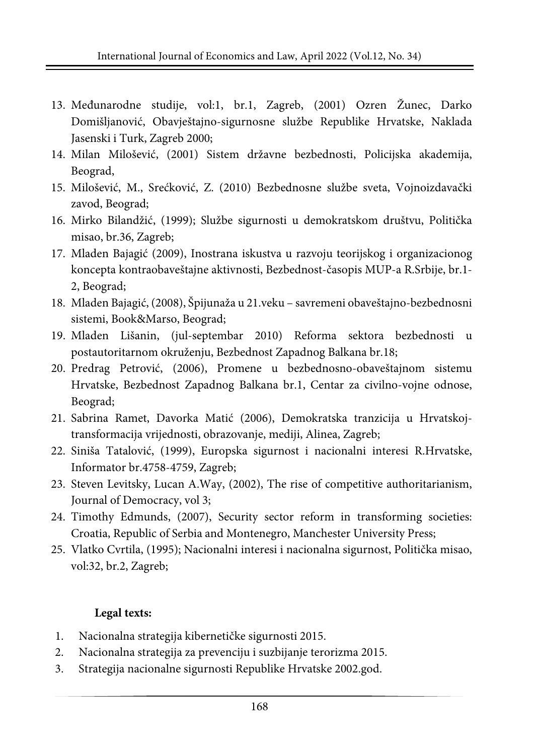- 13. Međunarodne studije, vol:1, br.1, Zagreb, (2001) Ozren Žunec, Darko Domišljanović, Obavještajno-sigurnosne službe Republike Hrvatske, Naklada Jasenski i Turk, Zagreb 2000;
- 14. Milan Milošević, (2001) Sistem državne bezbednosti, Policijska akademija, Beograd,
- 15. Milošević, M., Srećković, Z. (2010) Bezbednosne službe sveta, Vojnoizdavački zavod, Beograd;
- 16. Mirko Bilandžić, (1999); Službe sigurnosti u demokratskom društvu, Politička misao, br.36, Zagreb;
- 17. Mladen Bajagić (2009), Inostrana iskustva u razvoju teorijskog i organizacionog koncepta kontraobaveštajne aktivnosti, Bezbednost-časopis MUP-a R.Srbije, br.1- 2, Beograd;
- 18. Mladen Bajagić, (2008), Špijunaža u 21.veku savremeni obaveštajno-bezbednosni sistemi, Book&Marso, Beograd;
- 19. Mladen Lišanin, (jul-septembar 2010) Reforma sektora bezbednosti u postautoritarnom okruženju, Bezbednost Zapadnog Balkana br.18;
- 20. Predrag Petrović, (2006), Promene u bezbednosno-obaveštajnom sistemu Hrvatske, Bezbednost Zapadnog Balkana br.1, Centar za civilno-vojne odnose, Beograd;
- 21. Sabrina Ramet, Davorka Matić (2006), Demokratska tranzicija u Hrvatskojtransformacija vrijednosti, obrazovanje, mediji, Alinea, Zagreb;
- 22. Siniša Tatalović, (1999), Europska sigurnost i nacionalni interesi R.Hrvatske, Informator br.4758-4759, Zagreb;
- 23. Steven Levitsky, Lucan A.Way, (2002), The rise of competitive authoritarianism, Journal of Democracy, vol 3;
- 24. Timothy Edmunds, (2007), Security sector reform in transforming societies: Croatia, Republic of Serbia and Montenegro, Manchester University Press;
- 25. Vlatko Cvrtila, (1995); Nacionalni interesi i nacionalna sigurnost, Politička misao, vol:32, br.2, Zagreb;

#### **Legal texts:**

- 1. Nacionalna strategija kibernetičke sigurnosti 2015.
- 2. Nacionalna strategija za prevenciju i suzbijanje terorizma 2015.
- 3. Strategija nacionalne sigurnosti Republike Hrvatske 2002.god.